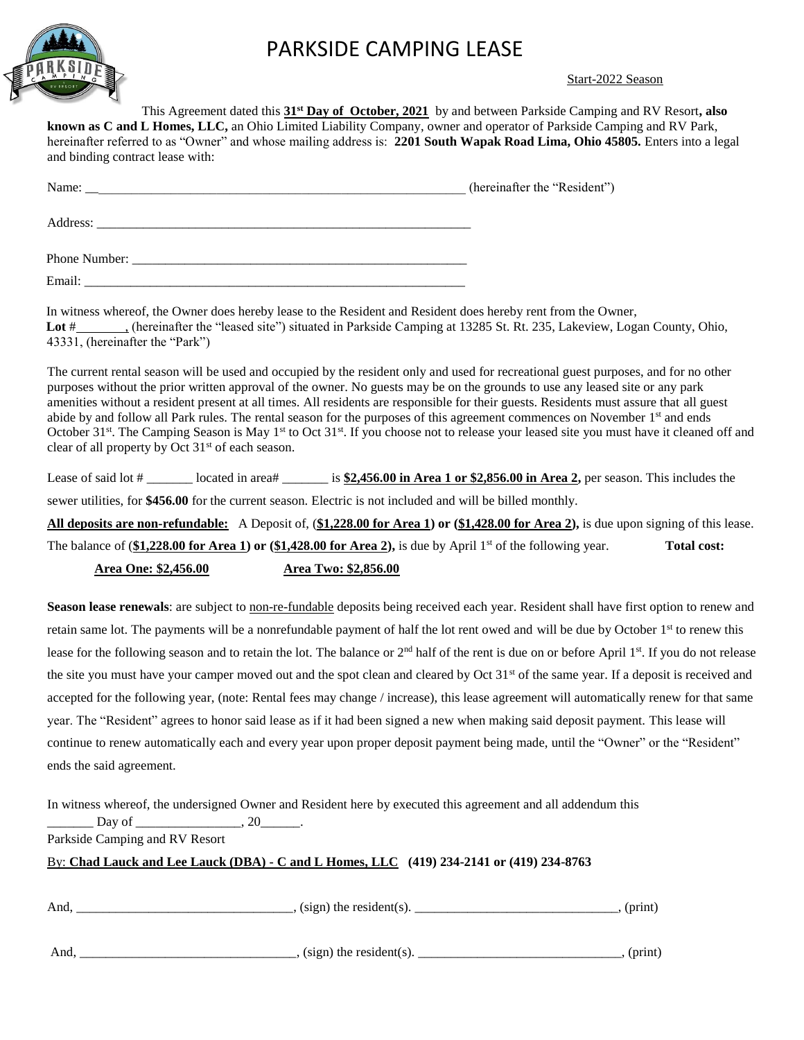

## PARKSIDE CAMPING LEASE

#### Start-2022 Season

This Agreement dated this **31st Day of October, 2021** by and between Parkside Camping and RV Resort**, also known as C and L Homes, LLC,** an Ohio Limited Liability Company, owner and operator of Parkside Camping and RV Park, hereinafter referred to as "Owner" and whose mailing address is: **2201 South Wapak Road Lima, Ohio 45805.** Enters into a legal and binding contract lease with:

| Name: $\frac{1}{\sqrt{1-\frac{1}{2}}}\left\{ \frac{1}{2}, \frac{1}{2}, \frac{1}{2}, \frac{1}{2}, \frac{1}{2}, \frac{1}{2}, \frac{1}{2}, \frac{1}{2}, \frac{1}{2}, \frac{1}{2}, \frac{1}{2}, \frac{1}{2}, \frac{1}{2}, \frac{1}{2}, \frac{1}{2}, \frac{1}{2}, \frac{1}{2}, \frac{1}{2}, \frac{1}{2}, \frac{1}{2}, \frac{1}{2}, \frac{1}{2}, \frac{1}{2}, \frac{1}{2}, \frac{1}{2}, \frac{1}{2}, \frac{1}{2}, \frac{1}{$ | (hereinafter the "Resident") |
|------------------------------------------------------------------------------------------------------------------------------------------------------------------------------------------------------------------------------------------------------------------------------------------------------------------------------------------------------------------------------------------------------------------------|------------------------------|
|                                                                                                                                                                                                                                                                                                                                                                                                                        |                              |
|                                                                                                                                                                                                                                                                                                                                                                                                                        |                              |
| Email:                                                                                                                                                                                                                                                                                                                                                                                                                 |                              |

In witness whereof, the Owner does hereby lease to the Resident and Resident does hereby rent from the Owner, Lot # , (hereinafter the "leased site") situated in Parkside Camping at 13285 St. Rt. 235, Lakeview, Logan County, Ohio, 43331, (hereinafter the "Park")

The current rental season will be used and occupied by the resident only and used for recreational guest purposes, and for no other purposes without the prior written approval of the owner. No guests may be on the grounds to use any leased site or any park amenities without a resident present at all times. All residents are responsible for their guests. Residents must assure that all guest abide by and follow all Park rules. The rental season for the purposes of this agreement commences on November 1<sup>st</sup> and ends October 31<sup>st</sup>. The Camping Season is May 1<sup>st</sup> to Oct 31<sup>st</sup>. If you choose not to release your leased site you must have it cleaned off and clear of all property by Oct  $31<sup>st</sup>$  of each season.

Lease of said lot  $\#$  \_\_\_\_\_\_\_\_ located in area# \_\_\_\_\_\_\_\_ is \$2,456.00 in Area 1 or \$2,856.00 in Area 2, per season. This includes the sewer utilities, for **\$456.00** for the current season. Electric is not included and will be billed monthly.

**All deposits are non-refundable:** A Deposit of, (**\$1,228.00 for Area 1) or (\$1,428.00 for Area 2),** is due upon signing of this lease. The balance of (\$1,228.00 for Area 1) or (\$1,428.00 for Area 2), is due by April 1<sup>st</sup> of the following year. **Total cost: Area One: \$2,456.00 Area Two: \$2,856.00** 

Season lease renewals: are subject to non-re-fundable deposits being received each year. Resident shall have first option to renew and retain same lot. The payments will be a nonrefundable payment of half the lot rent owed and will be due by October 1<sup>st</sup> to renew this lease for the following season and to retain the lot. The balance or  $2<sup>nd</sup>$  half of the rent is due on or before April  $1<sup>st</sup>$ . If you do not release the site you must have your camper moved out and the spot clean and cleared by Oct  $31<sup>st</sup>$  of the same year. If a deposit is received and accepted for the following year, (note: Rental fees may change / increase), this lease agreement will automatically renew for that same year. The "Resident" agrees to honor said lease as if it had been signed a new when making said deposit payment. This lease will continue to renew automatically each and every year upon proper deposit payment being made, until the "Owner" or the "Resident" ends the said agreement.

In witness whereof, the undersigned Owner and Resident here by executed this agreement and all addendum this

Day of \_\_\_\_\_\_\_\_\_\_\_\_\_\_\_\_\_\_\_\_\_, 20\_

Parkside Camping and RV Resort

#### By: **Chad Lauck and Lee Lauck (DBA) - C and L Homes, LLC (419) 234-2141 or (419) 234-8763**

| And | $, (sign)$ the resident $(s)$ . | (print) |
|-----|---------------------------------|---------|
|     |                                 |         |
| And | $(sign)$ the resident(s).       | (print) |